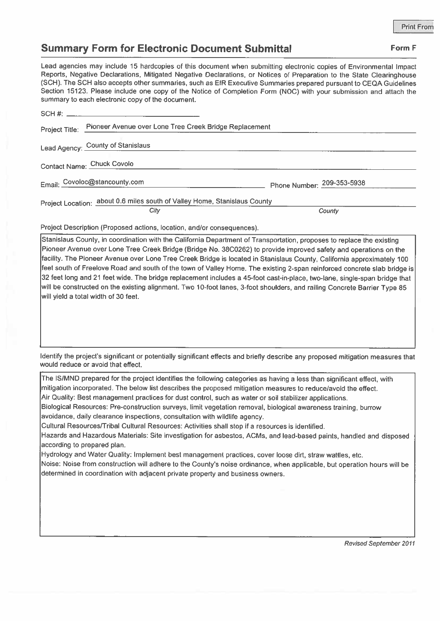## Summary Form for Electronic Document Submittal Form F

Lead agencies may include <sup>15</sup> hardcopies of this document when submitting electronic copies ci Environmental Impact Reports, Negative Declarations, Mitigated Negative Declarations, or Notices of Preparation to the State Clearinghouse (SCH). The SCH also accepts other summaries, such as EIR Executive Summaries prepare<sup>d</sup> pursuan<sup>t</sup> to CEQA Guidelines Section 15123. Please include one copy of the Notice of Completion Form (NOC) with your submission and attach the summary to each electronic copy of the document. **Summary Form for Electronic Dend Asset Associates and Summary Form for Electronic Dend Alegative Reports, Negative Declarations, Mitigated Negative (SCH). The SCH also accepts other summaries, such Section 15123. Please i** 

| Project Title:                                                            | Pioneer Avenue over Lone Tree Creek Bridge Replacement |                            |
|---------------------------------------------------------------------------|--------------------------------------------------------|----------------------------|
|                                                                           | Lead Agency: County of Stanislaus                      |                            |
|                                                                           | Contact Name: Chuck Covolo                             |                            |
|                                                                           | Email: Covoloc@stancounty.com                          | Phone Number: 209-353-5938 |
| Project Location: about 0.6 miles south of Valley Home, Stanislaus County |                                                        |                            |
|                                                                           | City                                                   | County                     |

Project Description (Proposed actions, location, and/or consequences).

Stanislaus County, in coordination with the California Department of Transportation, proposes to replace the existing Pioneer Avenue over Lone Tree Creek Bridge (Bridge No. 38C0262) to provide improved safety and operations on the facility. The Pioneer Avenue over Lone Tree Creek Bridge is located in Stanislaus County, California approximately <sup>100</sup> feet south of Freelove Road and south of the town of Valley Home. The existing 2-span reinforced concrete slab bridge is <sup>32</sup> feet long and <sup>21</sup> feet wide. The bridge replacement includes <sup>a</sup> 45-foot cast-in-place, two-lane, single-span bridge that will be constructed on the existing alignment. Two 10-foot lanes, 3-foot shoulders, and railing Concrete Barrier Type 85 will yield <sup>a</sup> total width of 30 feet.

Identify the project's significant or potentially significant effects and briefly describe any propose<sup>d</sup> mitigation measures that would reduce or avoid that effect.

The IS/MND prepare<sup>d</sup> for the project identifies the following categories as having <sup>a</sup> less than significant effect, with mitigation incorporated. The below list describes the proposed mitigation measures to reduce/avoid the effect. Air Quality: Best managemen<sup>t</sup> practices for dust control, such as water or soil stabilizer applications. Biological Resources: Pre-construction surveys, limit vegetation removal, biological awareness training, burrow avoidance, daily clearance inspections, consultation with wildlife agency. Cultural Resources/Tribal Cultural Resources: Activities shall stop if <sup>a</sup> resources is identified. Hazards and Hazardous Materials: Site investigation for asbestos. ACMs, and lead-based paints, handled and disposed according to prepared plan. Hydrology and Water Quality: Implement best managemen<sup>t</sup> practices, cover loose dirt, straw wattles, etc. Noise: Noise from construction will adhere to the County's noise ordinance, when applicable, but operation hours will be determined in coordination with adjacent private property and business owners.

Revised September 2011